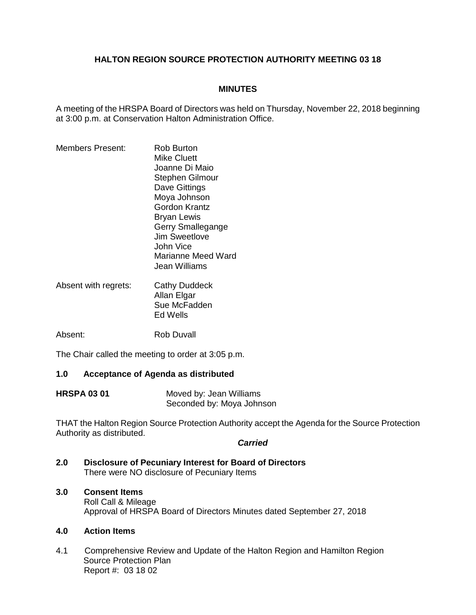# **HALTON REGION SOURCE PROTECTION AUTHORITY MEETING 03 18**

## **MINUTES**

A meeting of the HRSPA Board of Directors was held on Thursday, November 22, 2018 beginning at 3:00 p.m. at Conservation Halton Administration Office.

- Members Present: Rob Burton Mike Cluett Joanne Di Maio Stephen Gilmour Dave Gittings Moya Johnson Gordon Krantz Bryan Lewis Gerry Smallegange Jim Sweetlove John Vice Marianne Meed Ward Jean Williams
- Absent with regrets: Cathy Duddeck Allan Elgar Sue McFadden Ed Wells

Absent: Rob Duvall

The Chair called the meeting to order at 3:05 p.m.

### **1.0 Acceptance of Agenda as distributed**

| <b>HRSPA 03 01</b> | Moved by: Jean Williams   |
|--------------------|---------------------------|
|                    | Seconded by: Moya Johnson |

THAT the Halton Region Source Protection Authority accept the Agenda for the Source Protection Authority as distributed.

#### *Carried*

**2.0 Disclosure of Pecuniary Interest for Board of Directors** There were NO disclosure of Pecuniary Items

# **3.0 Consent Items**

Roll Call & Mileage Approval of HRSPA Board of Directors Minutes dated September 27, 2018

## **4.0 Action Items**

4.1 Comprehensive Review and Update of the Halton Region and Hamilton Region Source Protection Plan Report #: 03 18 02